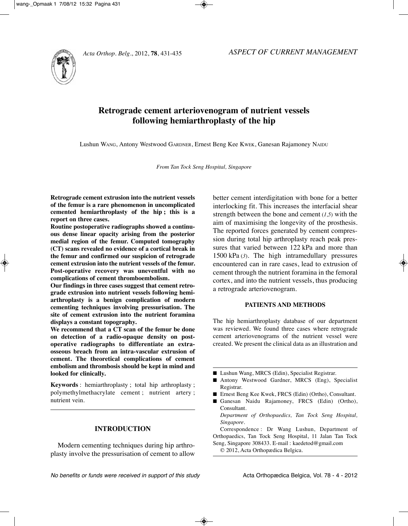

# **Retrograde cement arteriovenogram of nutrient vessels following hemiarthroplasty of the hip**

Lushun WANG, Antony Westwood GARDNER, Ernest Beng Kee KWEK, Ganesan Rajamoney NAiDu

*From Tan Tock Seng Hospital, Singapore*

**Retrograde cement extrusion into the nutrient vessels of the femur is a rare phenomenon in uncomplicated cemented hemiarthroplasty of the hip ; this is a report on three cases.**

**Routine postoperative radiographs showed a continuous dense linear opacity arising from the posterior medial region of the femur. Computed tomography (CT) scans revealed no evidence of a cortical break in the femur and confirmed our suspicion of retrograde cement extrusion into the nutrient vessels of the femur. Post-operative recovery was uneventful with no complications of cement thromboembolism.**

**Our findings in three cases suggest that cement retrograde extrusion into nutrient vessels following hemiarthroplasty is a benign complication of modern cementing techniques involving pressurisation. The site of cement extrusion into the nutrient foramina displays a constant topography.**

**We recommend that a CT scan of the femur be done on detection of a radio-opaque density on postoperative radiographs to differentiate an extraosseous breach from an intra-vascular extrusion of cement. The theoretical complications of cement embolism and thrombosis should be kept in mind and looked for clinically.**

**Keywords** : hemiarthroplasty ; total hip arthroplasty ; polymethylmethacrylate cement ; nutrient artery ; nutrient vein.

# **INTRODUCTION**

Modern cementing techniques during hip arthroplasty involve the pressurisation of cement to allow better cement interdigitation with bone for a better interlocking fit. This increases the interfacial shear strength between the bone and cement (*1,5*) with the aim of maximising the longevity of the prosthesis. The reported forces generated by cement compression during total hip arthroplasty reach peak pressures that varied between 122 kPa and more than 1500 kPa (*3*). The high intramedullary pressures encountered can in rare cases, lead to extrusion of cement through the nutrient foramina in the femoral cortex, and into the nutrient vessels, thus producing a retrograde arteriovenogram.

# **PATIENTS AND METHODS**

The hip hemiarthroplasty database of our department was reviewed. We found three cases where retrograde cement arteriovenograms of the nutrient vessel were created. We present the clinical data as an illustration and

- Lushun Wang, MRCS (Edin), Specialist Registrar.
- Antony Westwood Gardner, MRCS (Eng), Specialist Registrar.
- Ernest Beng Kee Kwek, FRCS (Edin) (Ortho), Consultant.
- Ganesan Naidu Rajamoney, FRCS (Edin) (Ortho), Consultant.

*Department of Orthopaedics, Tan Tock Seng Hospital, Singapore.*

Correspondence : Dr Wang Lushun, Department of Orthopaedics, Tan Tock Seng Hospital, 11 Jalan Tan Tock Seng, Singapore 308433. E-mail : kaedetod@gmail.com

© 2012, Acta Orthopædica Belgica.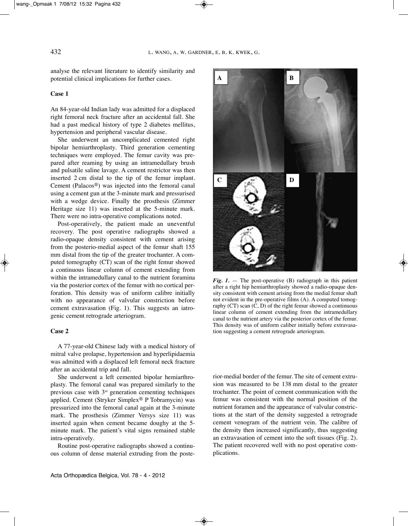analyse the relevant literature to identify similarity and potential clinical implications for further cases.

#### **Case 1**

An 84-year-old Indian lady was admitted for a displaced right femoral neck fracture after an accidental fall. She had a past medical history of type 2 diabetes mellitus, hypertension and peripheral vascular disease.

She underwent an uncomplicated cemented right bipolar hemiarthroplasty. Third generation cementing techniques were employed. The femur cavity was prepared after reaming by using an intramedullary brush and pulsatile saline lavage. A cement restrictor was then inserted 2 cm distal to the tip of the femur implant. Cement (Palacos®) was injected into the femoral canal using a cement gun at the 3-minute mark and pressurised with a wedge device. Finally the prosthesis (Zimmer Heritage size 11) was inserted at the 5-minute mark. There were no intra-operative complications noted.

Post-operatively, the patient made an uneventful recovery. The post operative radiographs showed a radio-opaque density consistent with cement arising from the posterio-medial aspect of the femur shaft 155 mm distal from the tip of the greater trochanter. A computed tomography (CT) scan of the right femur showed a continuous linear column of cement extending from within the intramedullary canal to the nutrient foramina via the posterior cortex of the femur with no cortical perforation. This density was of uniform calibre initially with no appearance of valvular constriction before cement extravasation (Fig. 1). This suggests an iatrogenic cement retrograde arteriogram.

#### **Case 2**

A 77-year-old Chinese lady with a medical history of mitral valve prolapse, hypertension and hyperlipidaemia was admitted with a displaced left femoral neck fracture after an accidental trip and fall.

She underwent a left cemented bipolar hemiarthroplasty. The femoral canal was prepared similarly to the previous case with  $3<sup>rd</sup>$  generation cementing techniques applied. Cement (Stryker Simplex® P Tobramycin) was pressurized into the femoral canal again at the 3-minute mark. The prosthesis (Zimmer Versys size 11) was inserted again when cement became doughy at the 5 minute mark. The patient's vital signs remained stable intra-operatively.

Routine post-operative radiographs showed a continuous column of dense material extruding from the poste-



*Fig. 1.* — The post-operative (B) radiograph in this patient after a right hip hemiarthroplasty showed a radio-opaque density consistent with cement arising from the medial femur shaft not evident in the pre-operative films (A). A computed tomography  $(CT)$  scan  $(C, D)$  of the right femur showed a continuous linear column of cement extending from the intramedullary canal to the nutrient artery via the posterior cortex of the femur. This density was of uniform caliber initially before extravasation suggesting a cement retrograde arteriogram.

rior-medial border of the femur. The site of cement extrusion was measured to be 138 mm distal to the greater trochanter. The point of cement communication with the femur was consistent with the normal position of the nutrient foramen and the appearance of valvular constrictions at the start of the density suggested a retrograde cement venogram of the nutrient vein. The calibre of the density then increased significantly, thus suggesting an extravasation of cement into the soft tissues (Fig. 2). The patient recovered well with no post operative complications.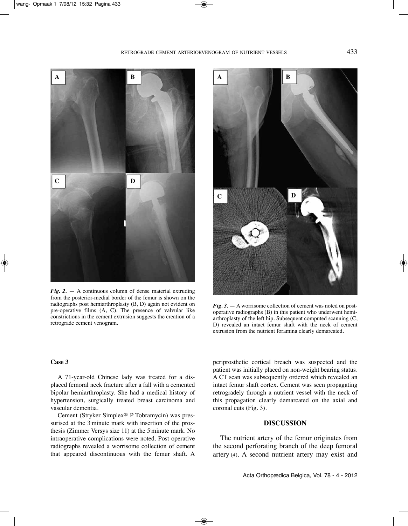

*Fig. 2.* — A continuous column of dense material extruding from the posterior-medial border of the femur is shown on the radiographs post hemiarthroplasty (B, D) again not evident on pre-operative films (A, C). The presence of valvular like constrictions in the cement extrusion suggests the creation of a retrograde cement venogram.



*Fig. 3.* —A worrisome collection of cement was noted on postoperative radiographs (B) in this patient who underwent hemiarthroplasty of the left hip. Subsequent computed scanning (C, D) revealed an intact femur shaft with the neck of cement extrusion from the nutrient foramina clearly demarcated.

## **Case 3**

A 71-year-old Chinese lady was treated for a displaced femoral neck fracture after a fall with a cemented bipolar hemiarthroplasty. She had a medical history of hypertension, surgically treated breast carcinoma and vascular dementia.

Cement (Stryker Simplex® P Tobramycin) was pressurised at the 3 minute mark with insertion of the prosthesis (Zimmer Versys size 11) at the 5- minute mark. No intraoperative complications were noted. Post operative radiographs revealed a worrisome collection of cement that appeared discontinuous with the femur shaft. A periprosthetic cortical breach was suspected and the patient was initially placed on non-weight bearing status. A CT scan was subsequently ordered which revealed an intact femur shaft cortex. Cement was seen propagating retrogradely through a nutrient vessel with the neck of this propagation clearly demarcated on the axial and coronal cuts (Fig. 3).

# **DISCUSSION**

The nutrient artery of the femur originates from the second perforating branch of the deep femoral artery (*4*)*.* A second nutrient artery may exist and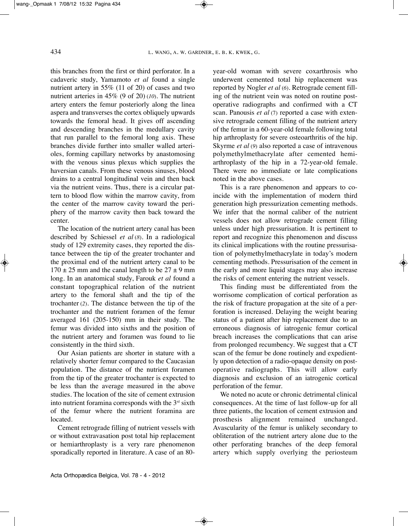this branches from the first or third perforator. In a cadaveric study, Yamamoto *et al* found a single nutrient artery in 55% (11 of 20) of cases and two nutrient arteries in 45% (9 of 20) (*10*)*.* The nutrient artery enters the femur posteriorly along the linea aspera and transverses the cortex obliquely upwards towards the femoral head. it gives off ascending and descending branches in the medullary cavity that run parallel to the femoral long axis. These branches divide further into smaller walled arterioles, forming capillary networks by anastomosing with the venous sinus plexus which supplies the haversian canals. From these venous sinuses, blood drains to a central longitudinal vein and then back via the nutrient veins. Thus, there is a circular pattern to blood flow within the marrow cavity, from the center of the marrow cavity toward the periphery of the marrow cavity then back toward the center.

The location of the nutrient artery canal has been described by Schiessel *et al* (*8*)*.* in a radiological study of 129 extremity cases, they reported the distance between the tip of the greater trochanter and the proximal end of the nutrient artery canal to be  $170 \pm 25$  mm and the canal length to be  $27 \pm 9$  mm long. In an anatomical study, Farouk et al found a constant topographical relation of the nutrient artery to the femoral shaft and the tip of the trochanter (*2*). The distance between the tip of the trochanter and the nutrient foramen of the femur averaged 161 (205-150) mm in their study. The femur was divided into sixths and the position of the nutrient artery and foramen was found to lie consistently in the third sixth.

Our Asian patients are shorter in stature with a relatively shorter femur compared to the Caucasian population. The distance of the nutrient foramen from the tip of the greater trochanter is expected to be less than the average measured in the above studies. The location of the site of cement extrusion into nutrient foramina corresponds with the  $3<sup>rd</sup>$  sixth of the femur where the nutrient foramina are located.

Cement retrograde filling of nutrient vessels with or without extravasation post total hip replacement or hemiarthroplasty is a very rare phenomenon sporadically reported in literature. A case of an 80year-old woman with severe coxarthrosis who underwent cemented total hip replacement was reported by Nogler *et al* (*6*). Retrograde cement filling of the nutrient vein was noted on routine postoperative radiographs and confirmed with a CT scan. Panousis *et al* (7) reported a case with extensive retrograde cement filling of the nutrient artery of the femur in a 60-year-old female following total hip arthroplasty for severe osteoarthritis of the hip. Skyrme *et al* (*9*) also reported a case of intravenous polymethylmethacrylate after cemented hemiarthroplasty of the hip in a 72-year-old female. There were no immediate or late complications noted in the above cases.

This is a rare phenomenon and appears to coincide with the implementation of modern third generation high pressurization cementing methods. We infer that the normal caliber of the nutrient vessels does not allow retrograde cement filling unless under high pressurisation. It is pertinent to report and recognize this phenomenon and discuss its clinical implications with the routine pressurisation of polymethylmethacrylate in today's modern cementing methods. Pressurisation of the cement in the early and more liquid stages may also increase the risks of cement entering the nutrient vessels.

This finding must be differentiated from the worrisome complication of cortical perforation as the risk of fracture propagation at the site of a perforation is increased. Delaying the weight bearing status of a patient after hip replacement due to an erroneous diagnosis of iatrogenic femur cortical breach increases the complications that can arise from prolonged recumbency. We suggest that a CT scan of the femur be done routinely and expediently upon detection of a radio-opaque density on postoperative radiographs. This will allow early diagnosis and exclusion of an iatrogenic cortical perforation of the femur.

We noted no acute or chronic detrimental clinical consequences. At the time of last follow-up for all three patients, the location of cement extrusion and prosthesis alignment remained unchanged. Avascularity of the femur is unlikely secondary to obliteration of the nutrient artery alone due to the other perforating branches of the deep femoral artery which supply overlying the periosteum